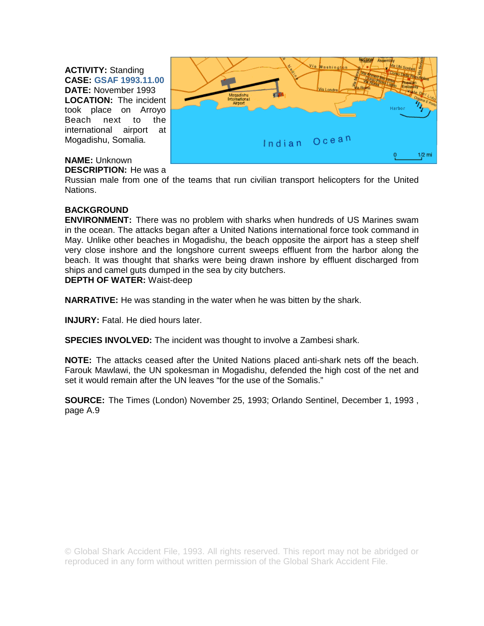**ACTIVITY:** Standing **CASE: GSAF 1993.11.00** 

**DATE:** November 1993 **LOCATION:** The incident took place on Arroyo Beach next to the international airport at Mogadishu, Somalia.



## **NAME:** Unknown

## **DESCRIPTION:** He was a

Russian male from one of the teams that run civilian transport helicopters for the United Nations.

## **BACKGROUND**

**ENVIRONMENT:** There was no problem with sharks when hundreds of US Marines swam in the ocean. The attacks began after a United Nations international force took command in May. Unlike other beaches in Mogadishu, the beach opposite the airport has a steep shelf very close inshore and the longshore current sweeps effluent from the harbor along the beach. It was thought that sharks were being drawn inshore by effluent discharged from ships and camel guts dumped in the sea by city butchers. **DEPTH OF WATER:** Waist-deep

**NARRATIVE:** He was standing in the water when he was bitten by the shark.

**INJURY:** Fatal. He died hours later.

**SPECIES INVOLVED:** The incident was thought to involve a Zambesi shark.

**NOTE:** The attacks ceased after the United Nations placed anti-shark nets off the beach. Farouk Mawlawi, the UN spokesman in Mogadishu, defended the high cost of the net and set it would remain after the UN leaves "for the use of the Somalis."

**SOURCE:** The Times (London) November 25, 1993; Orlando Sentinel, December 1, 1993 , page A.9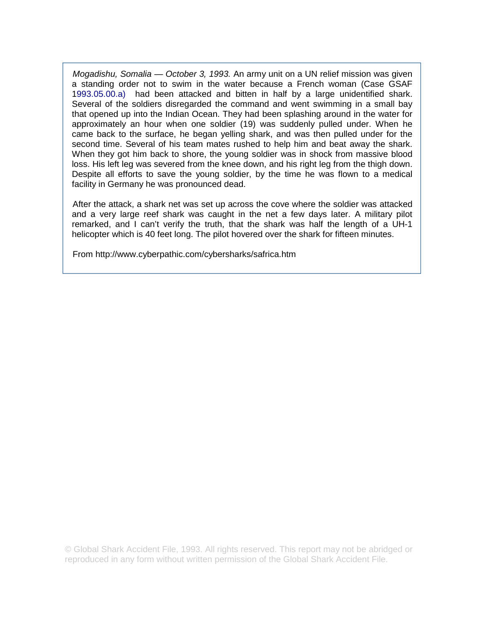*Mogadishu, Somalia — October 3, 1993.* An army unit on a UN relief mission was given a standing order not to swim in the water because a French woman (Case GSAF 1993.05.00.a) had been attacked and bitten in half by a large unidentified shark. Several of the soldiers disregarded the command and went swimming in a small bay that opened up into the Indian Ocean. They had been splashing around in the water for approximately an hour when one soldier (19) was suddenly pulled under. When he came back to the surface, he began yelling shark, and was then pulled under for the second time. Several of his team mates rushed to help him and beat away the shark. When they got him back to shore, the young soldier was in shock from massive blood loss. His left leg was severed from the knee down, and his right leg from the thigh down. Despite all efforts to save the young soldier, by the time he was flown to a medical facility in Germany he was pronounced dead.

After the attack, a shark net was set up across the cove where the soldier was attacked and a very large reef shark was caught in the net a few days later. A military pilot remarked, and I can't verify the truth, that the shark was half the length of a UH-1 helicopter which is 40 feet long. The pilot hovered over the shark for fifteen minutes.

From http://www.cyberpathic.com/cybersharks/safrica.htm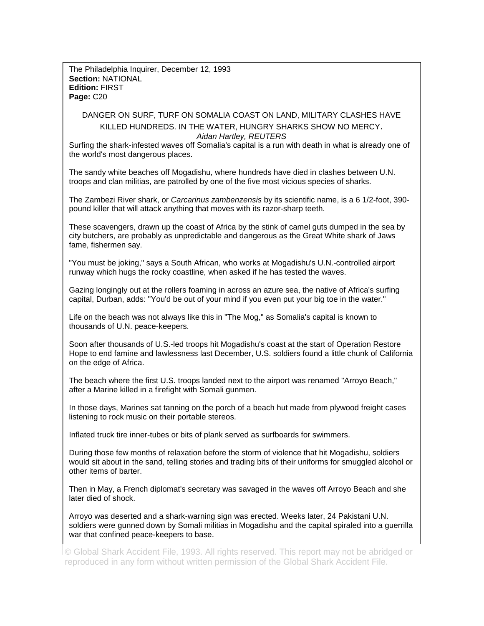The Philadelphia Inquirer, December 12, 1993 **Section:** NATIONAL **Edition:** FIRST **Page:** C20

DANGER ON SURF, TURF ON SOMALIA COAST ON LAND, MILITARY CLASHES HAVE KILLED HUNDREDS. IN THE WATER, HUNGRY SHARKS SHOW NO MERCY.

*Aidan Hartley, REUTERS*

Surfing the shark-infested waves off Somalia's capital is a run with death in what is already one of the world's most dangerous places.

The sandy white beaches off Mogadishu, where hundreds have died in clashes between U.N. troops and clan militias, are patrolled by one of the five most vicious species of sharks.

The Zambezi River shark, or *Carcarinus zambenzensis* by its scientific name, is a 6 1/2-foot, 390 pound killer that will attack anything that moves with its razor-sharp teeth.

These scavengers, drawn up the coast of Africa by the stink of camel guts dumped in the sea by city butchers, are probably as unpredictable and dangerous as the Great White shark of Jaws fame, fishermen say.

"You must be joking," says a South African, who works at Mogadishu's U.N.-controlled airport runway which hugs the rocky coastline, when asked if he has tested the waves.

Gazing longingly out at the rollers foaming in across an azure sea, the native of Africa's surfing capital, Durban, adds: "You'd be out of your mind if you even put your big toe in the water."

Life on the beach was not always like this in "The Mog," as Somalia's capital is known to thousands of U.N. peace-keepers.

Soon after thousands of U.S.-led troops hit Mogadishu's coast at the start of Operation Restore Hope to end famine and lawlessness last December, U.S. soldiers found a little chunk of California on the edge of Africa.

The beach where the first U.S. troops landed next to the airport was renamed "Arroyo Beach," after a Marine killed in a firefight with Somali gunmen.

In those days, Marines sat tanning on the porch of a beach hut made from plywood freight cases listening to rock music on their portable stereos.

Inflated truck tire inner-tubes or bits of plank served as surfboards for swimmers.

During those few months of relaxation before the storm of violence that hit Mogadishu, soldiers would sit about in the sand, telling stories and trading bits of their uniforms for smuggled alcohol or other items of barter.

Then in May, a French diplomat's secretary was savaged in the waves off Arroyo Beach and she later died of shock.

Arroyo was deserted and a shark-warning sign was erected. Weeks later, 24 Pakistani U.N. soldiers were gunned down by Somali militias in Mogadishu and the capital spiraled into a guerrilla war that confined peace-keepers to base.